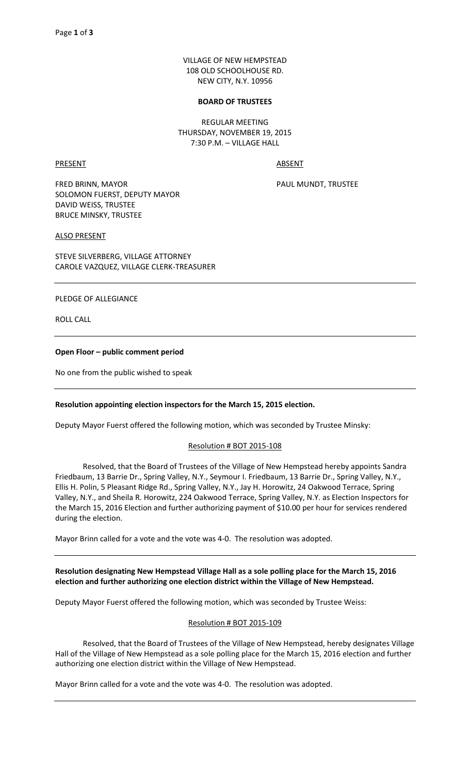VILLAGE OF NEW HEMPSTEAD 108 OLD SCHOOLHOUSE RD. NEW CITY, N.Y. 10956

#### **BOARD OF TRUSTEES**

REGULAR MEETING THURSDAY, NOVEMBER 19, 2015 7:30 P.M. – VILLAGE HALL

PRESENT ABSENT

FRED BRINN, MAYOR **PAUL MUNDT, TRUSTEE** SOLOMON FUERST, DEPUTY MAYOR DAVID WEISS, TRUSTEE BRUCE MINSKY, TRUSTEE

ALSO PRESENT

STEVE SILVERBERG, VILLAGE ATTORNEY CAROLE VAZQUEZ, VILLAGE CLERK-TREASURER

#### PLEDGE OF ALLEGIANCE

ROLL CALL

# **Open Floor – public comment period**

No one from the public wished to speak

# **Resolution appointing election inspectors for the March 15, 2015 election.**

Deputy Mayor Fuerst offered the following motion, which was seconded by Trustee Minsky:

#### Resolution # BOT 2015-108

 Resolved, that the Board of Trustees of the Village of New Hempstead hereby appoints Sandra Friedbaum, 13 Barrie Dr., Spring Valley, N.Y., Seymour I. Friedbaum, 13 Barrie Dr., Spring Valley, N.Y., Ellis H. Polin, 5 Pleasant Ridge Rd., Spring Valley, N.Y., Jay H. Horowitz, 24 Oakwood Terrace, Spring Valley, N.Y., and Sheila R. Horowitz, 224 Oakwood Terrace, Spring Valley, N.Y. as Election Inspectors for the March 15, 2016 Election and further authorizing payment of \$10.00 per hour for services rendered during the election.

Mayor Brinn called for a vote and the vote was 4-0. The resolution was adopted.

# **Resolution designating New Hempstead Village Hall as a sole polling place for the March 15, 2016 election and further authorizing one election district within the Village of New Hempstead.**

Deputy Mayor Fuerst offered the following motion, which was seconded by Trustee Weiss:

# Resolution # BOT 2015-109

 Resolved, that the Board of Trustees of the Village of New Hempstead, hereby designates Village Hall of the Village of New Hempstead as a sole polling place for the March 15, 2016 election and further authorizing one election district within the Village of New Hempstead.

Mayor Brinn called for a vote and the vote was 4-0. The resolution was adopted.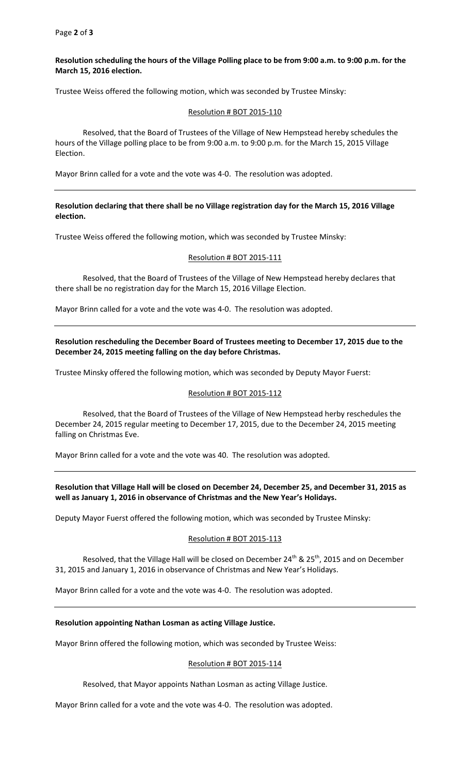# **Resolution scheduling the hours of the Village Polling place to be from 9:00 a.m. to 9:00 p.m. for the March 15, 2016 election.**

Trustee Weiss offered the following motion, which was seconded by Trustee Minsky:

# Resolution # BOT 2015-110

 Resolved, that the Board of Trustees of the Village of New Hempstead hereby schedules the hours of the Village polling place to be from 9:00 a.m. to 9:00 p.m. for the March 15, 2015 Village Election.

Mayor Brinn called for a vote and the vote was 4-0. The resolution was adopted.

# **Resolution declaring that there shall be no Village registration day for the March 15, 2016 Village election.**

Trustee Weiss offered the following motion, which was seconded by Trustee Minsky:

#### Resolution # BOT 2015-111

 Resolved, that the Board of Trustees of the Village of New Hempstead hereby declares that there shall be no registration day for the March 15, 2016 Village Election.

Mayor Brinn called for a vote and the vote was 4-0. The resolution was adopted.

# **Resolution rescheduling the December Board of Trustees meeting to December 17, 2015 due to the December 24, 2015 meeting falling on the day before Christmas.**

Trustee Minsky offered the following motion, which was seconded by Deputy Mayor Fuerst:

# Resolution # BOT 2015-112

 Resolved, that the Board of Trustees of the Village of New Hempstead herby reschedules the December 24, 2015 regular meeting to December 17, 2015, due to the December 24, 2015 meeting falling on Christmas Eve.

Mayor Brinn called for a vote and the vote was 40. The resolution was adopted.

**Resolution that Village Hall will be closed on December 24, December 25, and December 31, 2015 as well as January 1, 2016 in observance of Christmas and the New Year's Holidays.** 

Deputy Mayor Fuerst offered the following motion, which was seconded by Trustee Minsky:

# Resolution # BOT 2015-113

Resolved, that the Village Hall will be closed on December  $24^{th}$  &  $25^{th}$ , 2015 and on December 31, 2015 and January 1, 2016 in observance of Christmas and New Year's Holidays.

Mayor Brinn called for a vote and the vote was 4-0. The resolution was adopted.

# **Resolution appointing Nathan Losman as acting Village Justice.**

Mayor Brinn offered the following motion, which was seconded by Trustee Weiss:

#### Resolution # BOT 2015-114

Resolved, that Mayor appoints Nathan Losman as acting Village Justice.

Mayor Brinn called for a vote and the vote was 4-0. The resolution was adopted.